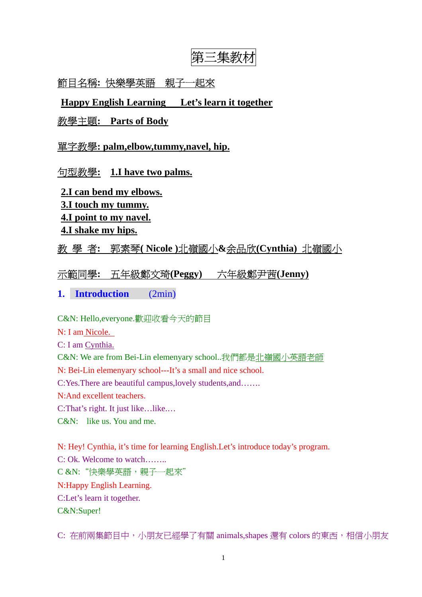# 第三集教材

# 節目名稱**:** 快樂學英語親子一起來

**Happy English Learning Let's learn it together**

## 教學主題**: Parts of Body**

## 單字教學**: palm,elbow,tummy,navel, hip.**

## 句型教學**: 1.I have two palms.**

- **2.I can bend my elbows. 3.I touch my tummy.**
- **4.I point to my navel.**
- **4.I shake my hips.**

# 教 學 者**:** 郭素琴**( Nicole )**北嶺國小**&**余品欣**(Cynthia)** 北嶺國小

# 示範同學**:** 五年級鄭文琦**(Peggy)** 六年級鄭尹茜**(Jenny)**

# **1. Introduction** (2min)

C&N: Hello,everyone.歡迎收看今天的節目

- N: I am Nicole.
- C: I am Cynthia.

C&N: We are from Bei-Lin elemenyary school..我們都是北嶺國小英語老師

N: Bei-Lin elemenyary school---It's a small and nice school.

C:Yes.There are beautiful campus,lovely students,and…….

N:And excellent teachers.

C:That's right. It just like…like.…

C&N: like us. You and me.

N: Hey! Cynthia, it's time for learning English.Let's introduce today's program.

C: Ok. Welcome to watch……..

C &N:"快樂學英語,親子一起來"

N:Happy English Learning.

C:Let's learn it together.

C&N:Super!

C: 在前兩集節目中,小朋友已經學了有關 animals,shapes 還有 colors 的東西,相信小朋友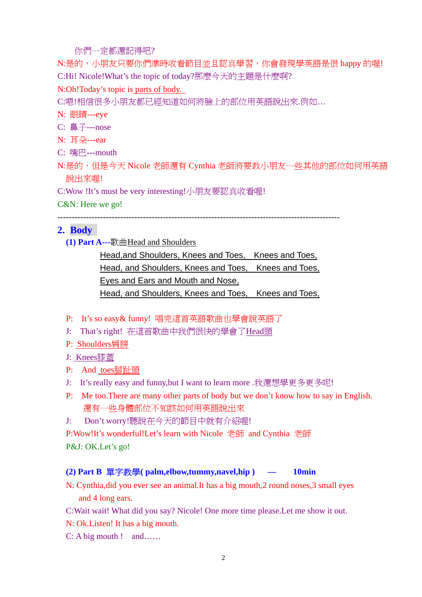#### 你們一定都還記得吧?

N:是的,小朋友只要你們準時收看節目並且認真學習,你會發現學英語是很 happy 的喔! C:Hi! Nicole!What's the topic of today?那麼今天的主題是什麼啊?

## N:Oh!Today's topic is parts of body.

C:嗯!相信很多小朋友都已經知道如何將臉上的部位用英語說出來.例如…

## N: 眼睛---eye

C: 鼻子---nose

- N: 耳朵---ear
- C: 嘴巴---mouth

N:是的,但是今天 Nicole 老師還有 Cynthia 老師將要教小朋友一些其他的部位如何用英語 說出來喔!

C:Wow !It's must be very interesting!小朋友要認真收看喔!

C&N: Here we go!

### ---------------------------------------------------------------------------------------------------

# **2. Body**

 **(1) Part A---**歌曲Head and Shoulders

Head,and Shoulders, Knees and Toes, Knees and Toes, Head, and Shoulders, Knees and Toes, Knees and Toes, Eyes and Ears and Mouth and Nose, Head, and Shoulders, Knees and Toes, Knees and Toes,

- P: It's so easy& funny! 唱完這首英語歌曲也學會說英語了
- J: That's right! 在這首歌曲中我們很快的學會了Head頭
- P: Shoulders肩膀
- J: Knees膝蓋
- P: And toes腳趾頭
- J: It's really easy and funny,but I want to learn more .我還想學更多更多呢!
- P: Me too.There are many other parts of body but we don't know how to say in English. 還有一些身體部位不知該如何用英語說出來
- J: Don't worry!聽說在今天的節目中就有介紹喔!

P:Wow!It's wonderful!Let's learn with Nicole 老師 and Cynthia 老師

P&J: OK.Let's go!

# **(2) Part B** 單字教學**( palm,elbow,tummy,navel,hip ) — 10min**

- N: Cynthia,did you ever see an animal.It has a big mouth,2 round noses,3 small eyes and 4 long ears.
- C:Wait wait! What did you say? Nicole! One more time please.Let me show it out.
- N: Ok.Listen! It has a big mouth.

C: A big mouth ! and……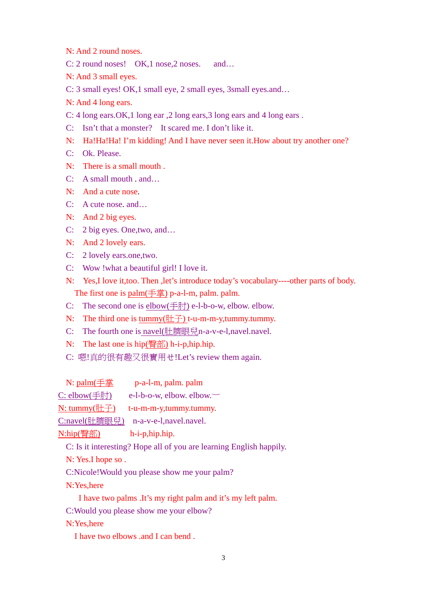N: And 2 round noses.

C: 2 round noses! OK, 1 nose, 2 noses. and...

N: And 3 small eyes.

C: 3 small eyes! OK,1 small eye, 2 small eyes, 3small eyes.and…

N: And 4 long ears.

C: 4 long ears.OK,1 long ear ,2 long ears,3 long ears and 4 long ears .

C: Isn't that a monster? It scared me. I don't like it.

N: Ha!Ha!Ha! I'm kidding! And I have never seen it.How about try another one?

C: Ok. Please.

N: There is a small mouth .

C: A small mouth . and…

N: And a cute nose.

C: A cute nose. and…

N: And 2 big eyes.

C: 2 big eyes. One,two, and…

N: And 2 lovely ears.

C: 2 lovely ears.one,two.

C: Wow !what a beautiful girl! I love it.

N: Yes,I love it,too. Then ,let's introduce today's vocabulary----other parts of body. The first one is palm(手掌) p-a-l-m, palm. palm.

C: The second one is elbow(手肘) e-l-b-o-w, elbow. elbow.

N: The third one is tummy( $#$  $\neq$ ) t-u-m-m-y,tummy.tummy.

C: The fourth one is navel(肚臍眼兒n-a-v-e-l,navel.navel.

N: The last one is hip(臀部) h-i-p,hip.hip.

C: 嗯!真的很有趣又很實用ㄝ!Let's review them again.

N: palm(手掌 p-a-l-m, palm. palm

C: elbow(手肘) e-l-b-o-w, elbow. elbow. $\sim$ 

N: tummy(肚子) t-u-m-m-y,tummy.tummy.

C:navel(肚臍眼兒) n-a-v-e-l,navel.navel.

N:hip(臀部) h-i-p,hip.hip.

C: Is it interesting? Hope all of you are learning English happily.

N: Yes.I hope so .

C:Nicole!Would you please show me your palm?

N:Yes,here

I have two palms .It's my right palm and it's my left palm.

C:Would you please show me your elbow?

N:Yes,here

I have two elbows .and I can bend .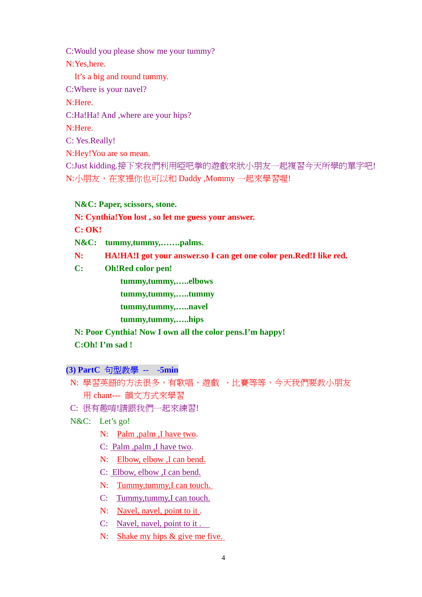C:Would you please show me your tummy? N:Yes,here. It's a big and round tummy. C:Where is your navel? N:Here. C:Ha!Ha! And ,where are your hips? N:Here. C: Yes.Really! N:Hey!You are so mean. C:Just kidding.接下來我們利用啞吧拳的遊戲來狀小朋友一起複習今天所學的單字吧! N:小朋友,在家裡你也可以和 Daddy, Mommy 一起來學習喔!

**N&C: Paper, scissors, stone.**

**N: Cynthia!You lost , so let me guess your answer.** 

**C: OK!** 

**N&C: tummy,tummy,…….palms.** 

**N: HA!HA!I got your answer.so I can get one color pen.Red!I like red.** 

**C: Oh!Red color pen!**

 **tummy,tummy,…..elbows** 

 **tummy,tummy,…..tummy** 

 **tummy,tummy,…..navel** 

 **tummy,tummy,…..hips** 

**N: Poor Cynthia! Now I own all the color pens.I'm happy!** 

 **C:Oh! I'm sad !** 

**(3) PartC** 句型教學 **-- -5min** 

 N: 學習英語的方法很多,有歌唱、遊戲 、比賽等等,今天我們要教小朋友 用 chant--- 韻文方式來學習

C: 很有趣唷!請跟我們一起來練習!

N&C: Let's go!

N: Palm ,palm ,I have two.

C: Palm ,palm ,I have two.

N: Elbow, elbow ,I can bend.

- C: Elbow, elbow ,I can bend.
- N: Tummy, tummy, I can touch.
- C: Tummy,tummy,I can touch.
- N: Navel, navel, point to it.
- C: Navel, navel, point to it .
- N: Shake my hips & give me five.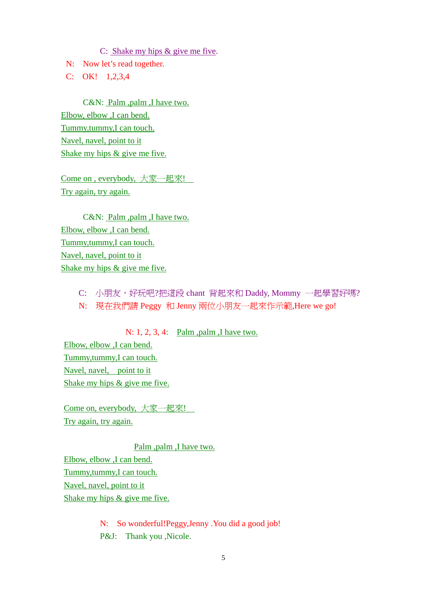C: Shake my hips & give me five.

N: Now let's read together.

C: OK! 1,2,3,4

C&N: Palm ,palm ,I have two. Elbow, elbow ,I can bend. Tummy,tummy,I can touch. Navel, navel, point to it Shake my hips & give me five.

Come on , everybody, 大家一起來! Try again, try again.

C&N: Palm ,palm ,I have two. Elbow, elbow ,I can bend. Tummy,tummy,I can touch. Navel, navel, point to it Shake my hips & give me five.

> C: 小朋友,好玩吧?把這段 chant 背起來和 Daddy, Mommy 一起學習好嗎? N: 現在我們請 Peggy 和 Jenny 兩位小朋友一起來作示範,Here we go!

N: 1, 2, 3, 4: Palm ,palm ,I have two. Elbow, elbow ,I can bend. Tummy,tummy,I can touch. Navel, navel, point to it

Shake my hips & give me five.

Come on, everybody, 大家一起來! Try again, try again.

Palm ,palm ,I have two.

Elbow, elbow ,I can bend.

Tummy,tummy,I can touch.

Navel, navel, point to it

Shake my hips & give me five.

N: So wonderful!Peggy,Jenny .You did a good job! P&J: Thank you , Nicole.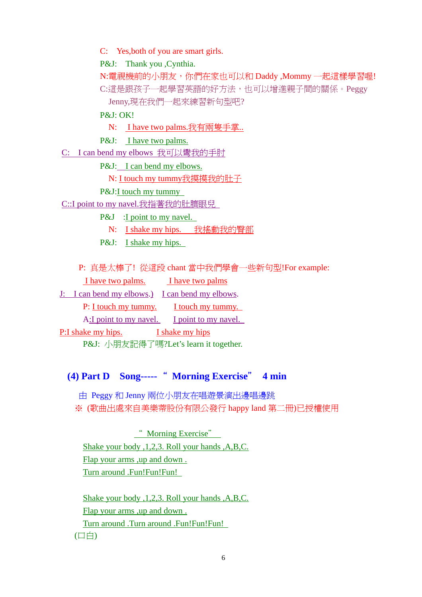C: Yes,both of you are smart girls.

P&J: Thank you , Cynthia.

N:電視機前的小朋友,你們在家也可以和 Daddy, Mommy 一起這樣學習喔! C:這是跟孩子一起學習英語的好方法,也可以增進親子間的關係。Peggy Jenny,現在我們一起來練習新句型吧?

P&J: OK!

N: I have two palms.我有兩隻手掌..

P&J: I have two palms.

C: I can bend my elbows 我可以彎我的手肘

P&J: I can bend my elbows.

N: I touch my tummy我摸摸我的肚子

P&J:I touch my tummy

C::I point to my navel.我指著我的肚臍眼兒

P&J : I point to my navel.

N: I shake my hips. 我搖動我的臀部

P&J: I shake my hips.

P: 真是太棒了! 從這段 chant 當中我們學會一些新句型!For example:

I have two palms. I have two palms

J: I can bend my elbows.) I can bend my elbows.

P: I touch my tummy. I touch my tummy.

A:I point to my navel. I point to my navel.

P:I shake my hips. I shake my hips

P&J: 小朋友記得了嗎?Let's learn it together.

# **(4) Part D Song-----**" **Morning Exercise**" **4 min**

 由 Peggy 和 Jenny 兩位小朋友在唱遊景演出邊唱邊跳 ※ (歌曲出處來自美樂蒂股份有限公發行 happy land 第二冊)已授權使用

" Morning Exercise" Shake your body ,1,2,3. Roll your hands ,A,B,C. Flap your arms ,up and down . Turn around .Fun!Fun!Fun!

Shake your body ,1,2,3. Roll your hands ,A,B,C. Flap your arms ,up and down . Turn around .Turn around .Fun!Fun!Fun! (口白)